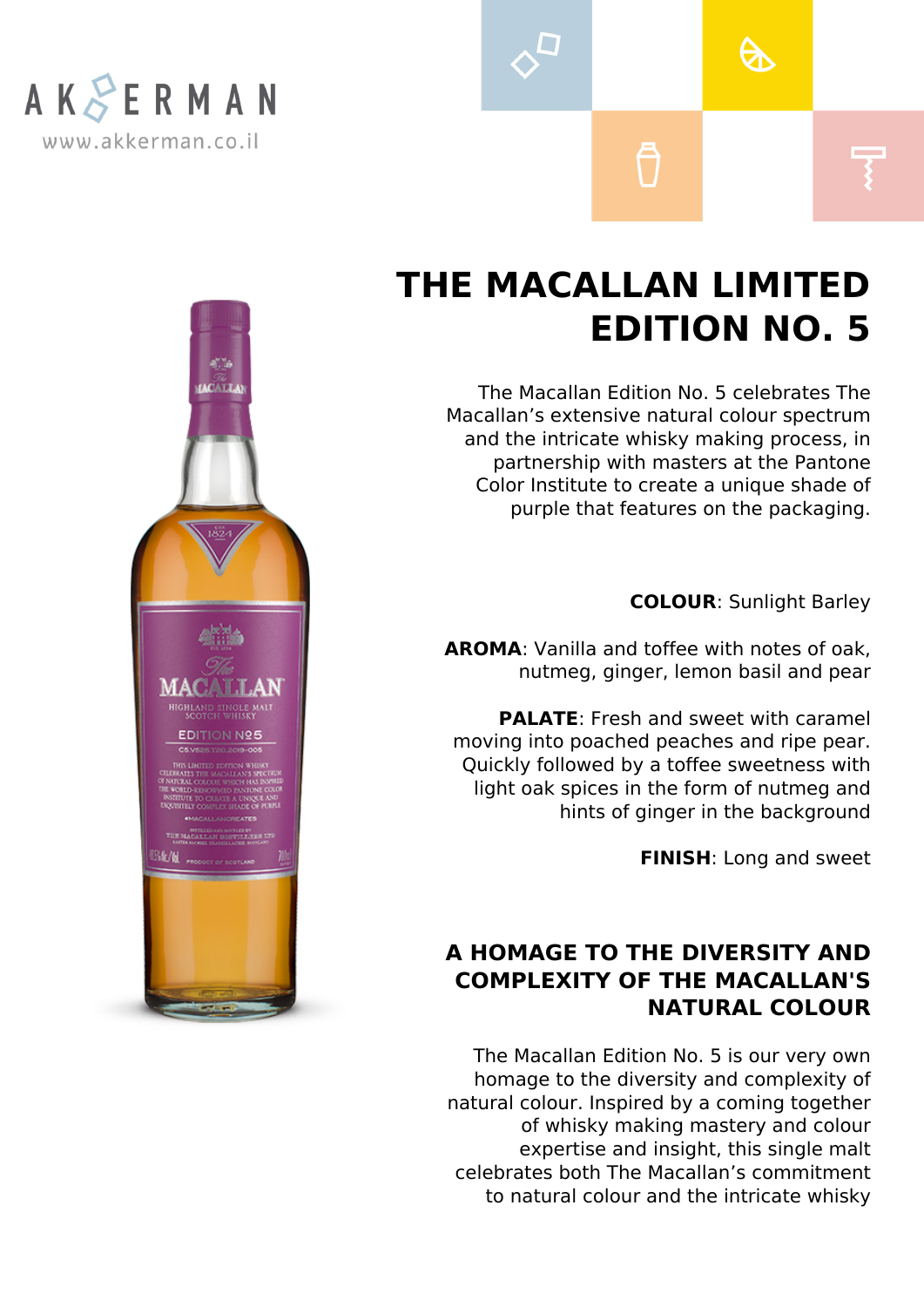

## **THE MACALLAN LIMITED EDITION NO. 5**

A

The Macallan Edition No. 5 celebrates The Macallan's extensive natural colour spectrum and the intricate whisky making process, in partnership with masters at the Pantone Color Institute to create a unique shade of purple that features on the packaging.

**COLOUR**: Sunlight Barley

**AROMA**: Vanilla and toffee with notes of oak, nutmeg, ginger, lemon basil and pear

**PALATE**: Fresh and sweet with caramel moving into poached peaches and ripe pear. Quickly followed by a toffee sweetness with light oak spices in the form of nutmeg and hints of ginger in the background

**FINISH**: Long and sweet

## **A HOMAGE TO THE DIVERSITY AND COMPLEXITY OF THE MACALLAN'S NATURAL COLOUR**

The Macallan Edition No. 5 is our very own homage to the diversity and complexity of natural colour. Inspired by a coming together of whisky making mastery and colour expertise and insight, this single malt celebrates both The Macallan's commitment to natural colour and the intricate whisky

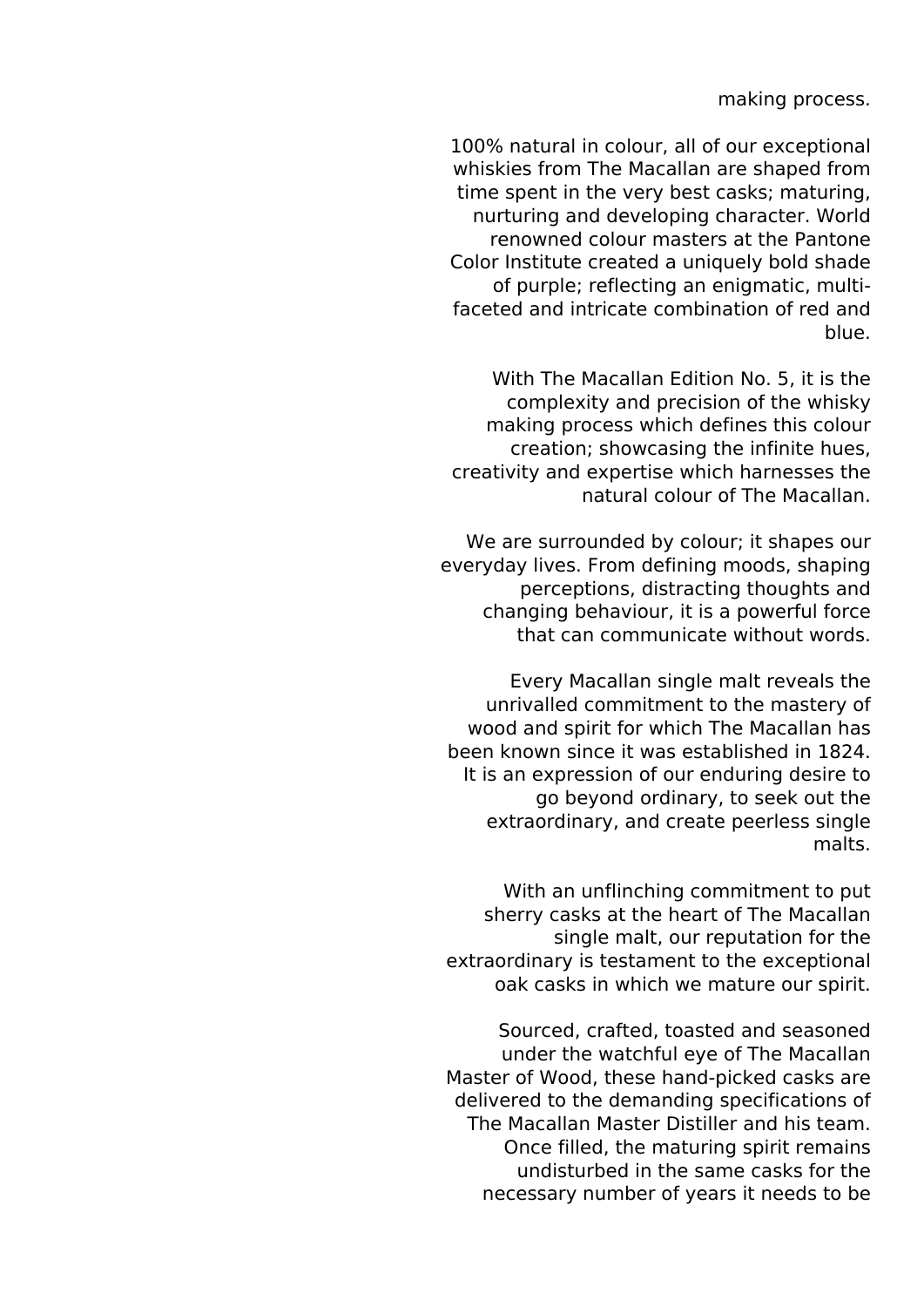making process.

100% natural in colour, all of our exceptional whiskies from The Macallan are shaped from time spent in the very best casks; maturing, nurturing and developing character. World renowned colour masters at the Pantone Color Institute created a uniquely bold shade of purple; reflecting an enigmatic, multifaceted and intricate combination of red and blue.

With The Macallan Edition No. 5, it is the complexity and precision of the whisky making process which defines this colour creation; showcasing the infinite hues, creativity and expertise which harnesses the natural colour of The Macallan.

We are surrounded by colour; it shapes our everyday lives. From defining moods, shaping perceptions, distracting thoughts and changing behaviour, it is a powerful force that can communicate without words.

Every Macallan single malt reveals the unrivalled commitment to the mastery of wood and spirit for which The Macallan has been known since it was established in 1824. It is an expression of our enduring desire to go beyond ordinary, to seek out the extraordinary, and create peerless single malts.

With an unflinching commitment to put sherry casks at the heart of The Macallan single malt, our reputation for the extraordinary is testament to the exceptional oak casks in which we mature our spirit.

Sourced, crafted, toasted and seasoned under the watchful eye of The Macallan Master of Wood, these hand-picked casks are delivered to the demanding specifications of The Macallan Master Distiller and his team. Once filled, the maturing spirit remains undisturbed in the same casks for the necessary number of years it needs to be